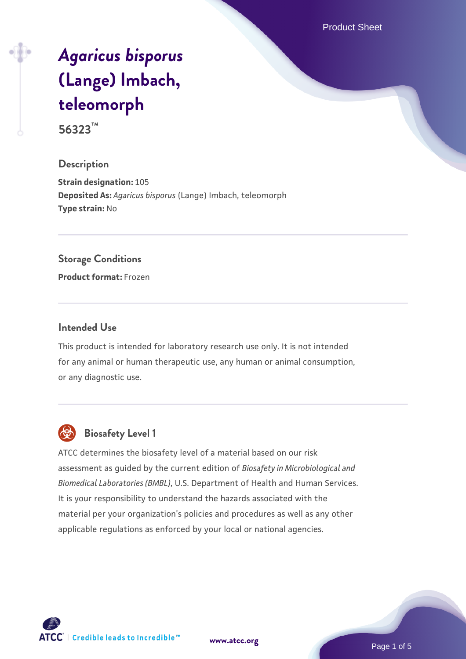Product Sheet

# *[Agaricus bisporus](https://www.atcc.org/products/56323)* **[\(Lange\) Imbach,](https://www.atcc.org/products/56323) [teleomorph](https://www.atcc.org/products/56323)**

**56323™**

## **Description**

**Strain designation:** 105 **Deposited As:** *Agaricus bisporus* (Lange) Imbach, teleomorph **Type strain:** No

#### **Storage Conditions**

**Product format:** Frozen

## **Intended Use**

This product is intended for laboratory research use only. It is not intended for any animal or human therapeutic use, any human or animal consumption, or any diagnostic use.



## **Biosafety Level 1**

ATCC determines the biosafety level of a material based on our risk assessment as guided by the current edition of *Biosafety in Microbiological and Biomedical Laboratories (BMBL)*, U.S. Department of Health and Human Services. It is your responsibility to understand the hazards associated with the material per your organization's policies and procedures as well as any other applicable regulations as enforced by your local or national agencies.

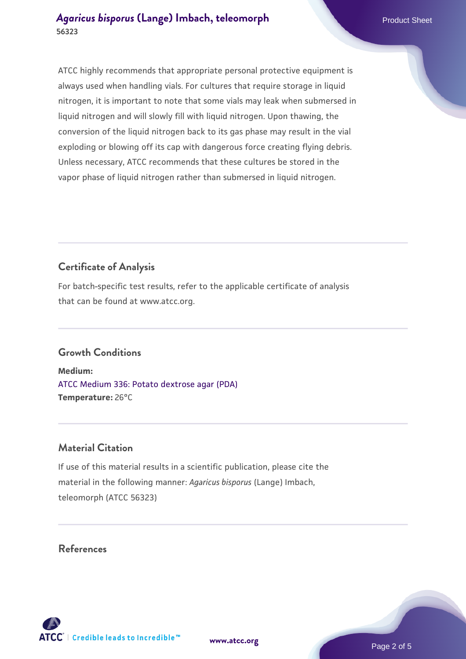ATCC highly recommends that appropriate personal protective equipment is always used when handling vials. For cultures that require storage in liquid nitrogen, it is important to note that some vials may leak when submersed in liquid nitrogen and will slowly fill with liquid nitrogen. Upon thawing, the conversion of the liquid nitrogen back to its gas phase may result in the vial exploding or blowing off its cap with dangerous force creating flying debris. Unless necessary, ATCC recommends that these cultures be stored in the vapor phase of liquid nitrogen rather than submersed in liquid nitrogen.

## **Certificate of Analysis**

For batch-specific test results, refer to the applicable certificate of analysis that can be found at www.atcc.org.

## **Growth Conditions**

**Medium:**  [ATCC Medium 336: Potato dextrose agar \(PDA\)](https://www.atcc.org/-/media/product-assets/documents/microbial-media-formulations/3/3/6/atcc-medium-336.pdf?rev=d9160ad44d934cd8b65175461abbf3b9) **Temperature:** 26°C

## **Material Citation**

If use of this material results in a scientific publication, please cite the material in the following manner: *Agaricus bisporus* (Lange) Imbach, teleomorph (ATCC 56323)

**[www.atcc.org](http://www.atcc.org)**

## **References**

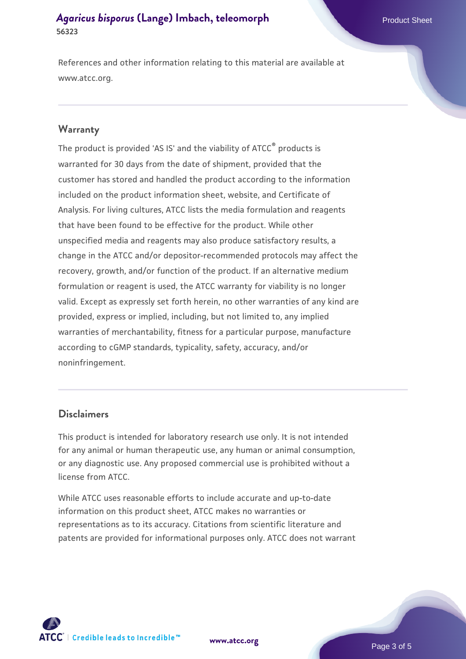References and other information relating to this material are available at www.atcc.org.

#### **Warranty**

The product is provided 'AS IS' and the viability of ATCC® products is warranted for 30 days from the date of shipment, provided that the customer has stored and handled the product according to the information included on the product information sheet, website, and Certificate of Analysis. For living cultures, ATCC lists the media formulation and reagents that have been found to be effective for the product. While other unspecified media and reagents may also produce satisfactory results, a change in the ATCC and/or depositor-recommended protocols may affect the recovery, growth, and/or function of the product. If an alternative medium formulation or reagent is used, the ATCC warranty for viability is no longer valid. Except as expressly set forth herein, no other warranties of any kind are provided, express or implied, including, but not limited to, any implied warranties of merchantability, fitness for a particular purpose, manufacture according to cGMP standards, typicality, safety, accuracy, and/or noninfringement.

#### **Disclaimers**

This product is intended for laboratory research use only. It is not intended for any animal or human therapeutic use, any human or animal consumption, or any diagnostic use. Any proposed commercial use is prohibited without a license from ATCC.

While ATCC uses reasonable efforts to include accurate and up-to-date information on this product sheet, ATCC makes no warranties or representations as to its accuracy. Citations from scientific literature and patents are provided for informational purposes only. ATCC does not warrant



**[www.atcc.org](http://www.atcc.org)**

Page 3 of 5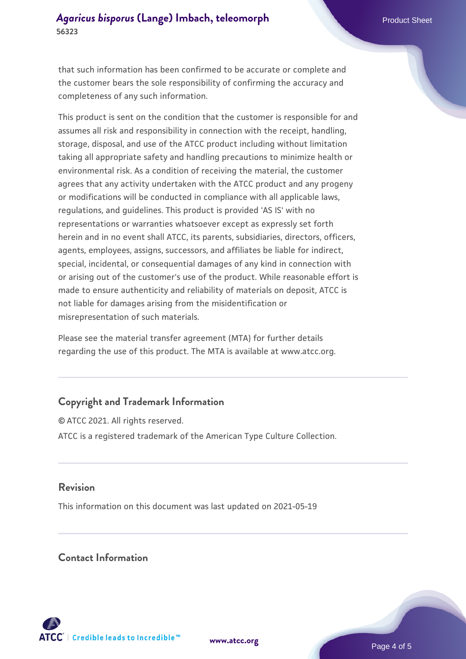that such information has been confirmed to be accurate or complete and the customer bears the sole responsibility of confirming the accuracy and completeness of any such information.

This product is sent on the condition that the customer is responsible for and assumes all risk and responsibility in connection with the receipt, handling, storage, disposal, and use of the ATCC product including without limitation taking all appropriate safety and handling precautions to minimize health or environmental risk. As a condition of receiving the material, the customer agrees that any activity undertaken with the ATCC product and any progeny or modifications will be conducted in compliance with all applicable laws, regulations, and guidelines. This product is provided 'AS IS' with no representations or warranties whatsoever except as expressly set forth herein and in no event shall ATCC, its parents, subsidiaries, directors, officers, agents, employees, assigns, successors, and affiliates be liable for indirect, special, incidental, or consequential damages of any kind in connection with or arising out of the customer's use of the product. While reasonable effort is made to ensure authenticity and reliability of materials on deposit, ATCC is not liable for damages arising from the misidentification or misrepresentation of such materials.

Please see the material transfer agreement (MTA) for further details regarding the use of this product. The MTA is available at www.atcc.org.

## **Copyright and Trademark Information**

© ATCC 2021. All rights reserved. ATCC is a registered trademark of the American Type Culture Collection.

## **Revision**

This information on this document was last updated on 2021-05-19

## **Contact Information**



**[www.atcc.org](http://www.atcc.org)**

Page 4 of 5